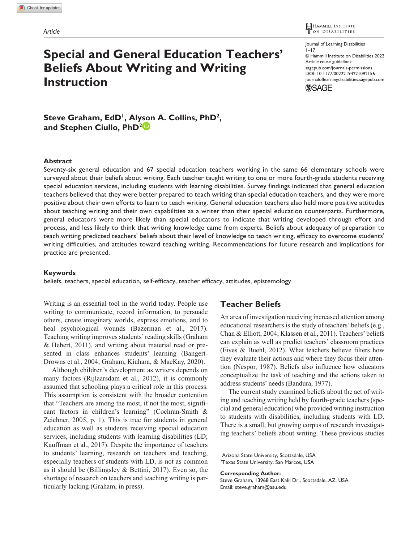### H HAMMILL INSTITUTE ON DISABILITIES

# **Special and General Education Teachers' Beliefs About Writing and Writing Instruction**

Journal of Learning Disabilities  $1 - 17$ © Hammill Institute on Disabilities 2022 Article reuse guidelines: [sagepub.com/journals-permissions](https://us.sagepub.com/en-us/journals-permissions) https://doi.org/10.1177/00222194221092156 DOI: 10.1177/00222194221092156 [journaloflearningdisabilities.sagepub.com](https://journaloflearningdisabilities.sagepub.com
) **SSAGE** 

Steve Graham, EdD<sup>1</sup>, Alyson A. Collins, PhD<sup>2</sup>, **and Stephen Ciullo, PhD2**

### **Abstract**

Seventy-six general education and 67 special education teachers working in the same 66 elementary schools were surveyed about their beliefs about writing. Each teacher taught writing to one or more fourth-grade students receiving special education services, including students with learning disabilities. Survey findings indicated that general education teachers believed that they were better prepared to teach writing than special education teachers, and they were more positive about their own efforts to learn to teach writing. General education teachers also held more positive attitudes about teaching writing and their own capabilities as a writer than their special education counterparts. Furthermore, general educators were more likely than special educators to indicate that writing developed through effort and process, and less likely to think that writing knowledge came from experts. Beliefs about adequacy of preparation to teach writing predicted teachers' beliefs about their level of knowledge to teach writing, efficacy to overcome students' writing difficulties, and attitudes toward teaching writing. Recommendations for future research and implications for practice are presented.

### **Keywords**

beliefs, teachers, special education, self-efficacy, teacher efficacy, attitudes, epistemology

Writing is an essential tool in the world today. People use writing to communicate, record information, to persuade others, create imaginary worlds, express emotions, and to heal psychological wounds (Bazerman et al., 2017). Teaching writing improves students' reading skills (Graham & Hebert, 2011), and writing about material read or presented in class enhances students' learning (Bangert-Drowns et al., 2004; Graham, Kiuhara, & MacKay, 2020).

Although children's development as writers depends on many factors (Rijlaarsdam et al., 2012), it is commonly assumed that schooling plays a critical role in this process. This assumption is consistent with the broader contention that "Teachers are among the most, if not the most, significant factors in children's learning" (Cochran-Smith & Zeichner, 2005, p. 1). This is true for students in general education as well as students receiving special education services, including students with learning disabilities (LD; Kauffman et al., 2017). Despite the importance of teachers to students' learning, research on teachers and teaching, especially teachers of students with LD, is not as common as it should be (Billingsley & Bettini, 2017). Even so, the shortage of research on teachers and teaching writing is particularly lacking (Graham, in press).

# **Teacher Beliefs**

An area of investigation receiving increased attention among educational researchers is the study of teachers' beliefs (e.g., Chan & Elliott, 2004; Klassen et al., 2011). Teachers' beliefs can explain as well as predict teachers' classroom practices (Fives & Buehl, 2012). What teachers believe filters how they evaluate their actions and where they focus their attention (Nespor, 1987). Beliefs also influence how educators conceptualize the task of teaching and the actions taken to address students' needs (Bandura, 1977).

The current study examined beliefs about the act of writing and teaching writing held by fourth-grade teachers (special and general education) who provided writing instruction to students with disabilities, including students with LD. There is a small, but growing corpus of research investigating teachers' beliefs about writing. These previous studies

**Corresponding Author:** Steve Graham, 13968 East Kalil Dr., Scottsdale, AZ, USA. Email: [steve.graham@asu.edu](mailto:steve.graham@asu.edu)

<sup>1</sup> Arizona State University, Scottsdale, USA 2 Texas State University, San Marcos, USA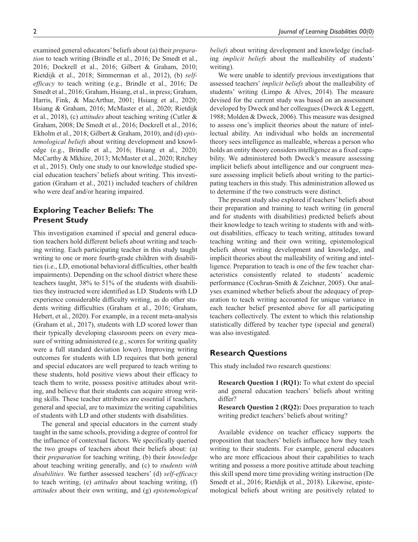examined general educators' beliefs about (a) their *preparation* to teach writing (Brindle et al., 2016; De Smedt et al., 2016; Dockrell et al., 2016; Gilbert & Graham, 2010; Rietdijk et al., 2018; Simmerman et al., 2012), (b) *selfefficacy* to teach writing (e.g., Brindle et al., 2016; De Smedt et al., 2016; Graham, Hsiang, et al., in press; Graham, Harris, Fink, & MacArthur, 2001; Hsiang et al., 2020; Hsiang & Graham, 2016; McMaster et al., 2020; Rietdijk et al., 2018), (c) *attitudes* about teaching writing (Cutler & Graham, 2008; De Smedt et al., 2016; Dockrell et al., 2016; Ekholm et al., 2018; Gilbert & Graham, 2010), and (d) *epistemological beliefs* about writing development and knowledge (e.g., Brindle et al., 2016; Hsiang et al., 2020; McCarthy & Mkhize, 2013; McMaster et al., 2020; Ritchey et al., 2015). Only one study to our knowledge studied special education teachers' beliefs about writing. This investigation (Graham et al., 2021) included teachers of children who were deaf and/or hearing impaired.

# **Exploring Teacher Beliefs: The Present Study**

This investigation examined if special and general education teachers hold different beliefs about writing and teaching writing. Each participating teacher in this study taught writing to one or more fourth-grade children with disabilities (i.e., LD, emotional behavioral difficulties, other health impairments). Depending on the school district where these teachers taught, 38% to 51% of the students with disabilities they instructed were identified as LD. Students with LD experience considerable difficulty writing, as do other students writing difficulties (Graham et al., 2016; Graham, Hebert, et al., 2020). For example, in a recent meta-analysis (Graham et al., 2017), students with LD scored lower than their typically developing classroom peers on every measure of writing administered (e.g., scores for writing quality were a full standard deviation lower). Improving writing outcomes for students with LD requires that both general and special educators are well prepared to teach writing to these students, hold positive views about their efficacy to teach them to write, possess positive attitudes about writing, and believe that their students can acquire strong writing skills. These teacher attributes are essential if teachers, general and special, are to maximize the writing capabilities of students with LD and other students with disabilities.

The general and special educators in the current study taught in the same schools, providing a degree of control for the influence of contextual factors. We specifically queried the two groups of teachers about their beliefs about: (a) their *preparation* for teaching writing, (b) their *knowledge* about teaching writing generally, and (c) to *students with disabilities*. We further assessed teachers' (d) *self-efficacy* to teach writing, (e) *attitudes* about teaching writing, (f) *attitudes* about their own writing, and (g) *epistemological*  *beliefs* about writing development and knowledge (including *implicit beliefs* about the malleability of students' writing).

We were unable to identify previous investigations that assessed teachers' *implicit beliefs* about the malleability of students' writing (Limpo & Alves, 2014). The measure devised for the current study was based on an assessment developed by Dweck and her colleagues (Dweck & Leggett, 1988; Molden & Dweck, 2006). This measure was designed to assess one's implicit theories about the nature of intellectual ability. An individual who holds an incremental theory sees intelligence as malleable, whereas a person who holds an entity theory considers intelligence as a fixed capability. We administered both Dweck's measure assessing implicit beliefs about intelligence and our congruent measure assessing implicit beliefs about writing to the participating teachers in this study. This administration allowed us to determine if the two constructs were distinct.

The present study also explored if teachers' beliefs about their preparation and training to teach writing (in general and for students with disabilities) predicted beliefs about their knowledge to teach writing to students with and without disabilities, efficacy to teach writing, attitudes toward teaching writing and their own writing, epistemological beliefs about writing development and knowledge, and implicit theories about the malleability of writing and intelligence. Preparation to teach is one of the few teacher characteristics consistently related to students' academic performance (Cochran-Smith & Zeichner, 2005). Our analyses examined whether beliefs about the adequacy of preparation to teach writing accounted for unique variance in each teacher belief presented above for all participating teachers collectively. The extent to which this relationship statistically differed by teacher type (special and general) was also investigated.

### **Research Questions**

This study included two research questions:

**Research Question 1 (RQ1):** To what extent do special and general education teachers' beliefs about writing differ?

**Research Question 2 (RQ2):** Does preparation to teach writing predict teachers' beliefs about writing?

Available evidence on teacher efficacy supports the proposition that teachers' beliefs influence how they teach writing to their students. For example, general educators who are more efficacious about their capabilities to teach writing and possess a more positive attitude about teaching this skill spend more time providing writing instruction (De Smedt et al., 2016; Rietdijk et al., 2018). Likewise, epistemological beliefs about writing are positively related to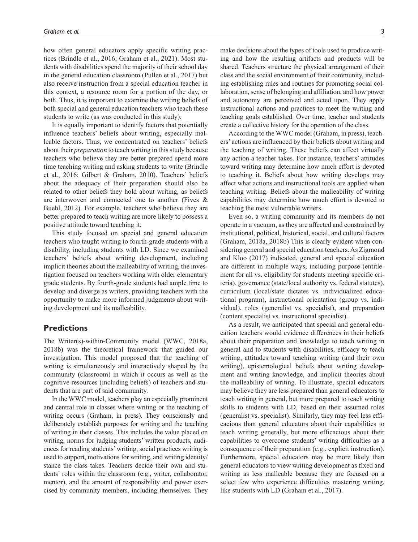how often general educators apply specific writing practices (Brindle et al., 2016; Graham et al., 2021). Most students with disabilities spend the majority of their school day in the general education classroom (Pullen et al., 2017) but also receive instruction from a special education teacher in this context, a resource room for a portion of the day, or both. Thus, it is important to examine the writing beliefs of both special and general education teachers who teach these students to write (as was conducted in this study).

It is equally important to identify factors that potentially influence teachers' beliefs about writing, especially malleable factors. Thus, we concentrated on teachers' beliefs about their *preparation* to teach writing in this study because teachers who believe they are better prepared spend more time teaching writing and asking students to write (Brindle et al., 2016; Gilbert & Graham, 2010). Teachers' beliefs about the adequacy of their preparation should also be related to other beliefs they hold about writing, as beliefs are interwoven and connected one to another (Fives & Buehl, 2012). For example, teachers who believe they are better prepared to teach writing are more likely to possess a positive attitude toward teaching it.

This study focused on special and general education teachers who taught writing to fourth-grade students with a disability, including students with LD. Since we examined teachers' beliefs about writing development, including implicit theories about the malleability of writing, the investigation focused on teachers working with older elementary grade students. By fourth-grade students had ample time to develop and diverge as writers, providing teachers with the opportunity to make more informed judgments about writing development and its malleability.

# **Predictions**

The Writer(s)-within-Community model (WWC, 2018a, 2018b) was the theoretical framework that guided our investigation. This model proposed that the teaching of writing is simultaneously and interactively shaped by the community (classroom) in which it occurs as well as the cognitive resources (including beliefs) of teachers and students that are part of said community.

In the WWC model, teachers play an especially prominent and central role in classes where writing or the teaching of writing occurs (Graham, in press). They consciously and deliberately establish purposes for writing and the teaching of writing in their classes. This includes the value placed on writing, norms for judging students' written products, audiences for reading students' writing, social practices writing is used to support, motivations for writing, and writing identity/ stance the class takes. Teachers decide their own and students' roles within the classroom (e.g., writer, collaborator, mentor), and the amount of responsibility and power exercised by community members, including themselves. They

make decisions about the types of tools used to produce writing and how the resulting artifacts and products will be shared. Teachers structure the physical arrangement of their class and the social environment of their community, including establishing rules and routines for promoting social collaboration, sense of belonging and affiliation, and how power and autonomy are perceived and acted upon. They apply instructional actions and practices to meet the writing and teaching goals established. Over time, teacher and students create a collective history for the operation of the class.

According to the WWC model (Graham, in press), teachers' actions are influenced by their beliefs about writing and the teaching of writing. These beliefs can affect virtually any action a teacher takes. For instance, teachers' attitudes toward writing may determine how much effort is devoted to teaching it. Beliefs about how writing develops may affect what actions and instructional tools are applied when teaching writing. Beliefs about the malleability of writing capabilities may determine how much effort is devoted to teaching the most vulnerable writers.

Even so, a writing community and its members do not operate in a vacuum, as they are affected and constrained by institutional, political, historical, social, and cultural factors (Graham, 2018a, 2018b) This is clearly evident when considering general and special education teachers. As Zigmond and Kloo (2017) indicated, general and special education are different in multiple ways, including purpose (entitlement for all vs. eligibility for students meeting specific criteria), governance (state/local authority vs. federal statutes), curriculum (local/state dictates vs. individualized educational program), instructional orientation (group vs. individual), roles (generalist vs. specialist), and preparation (content specialist vs. instructional specialist).

As a result, we anticipated that special and general education teachers would evidence differences in their beliefs about their preparation and knowledge to teach writing in general and to students with disabilities, efficacy to teach writing, attitudes toward teaching writing (and their own writing), epistemological beliefs about writing development and writing knowledge, and implicit theories about the malleability of writing. To illustrate, special educators may believe they are less prepared than general educators to teach writing in general, but more prepared to teach writing skills to students with LD, based on their assumed roles (generalist vs. specialist). Similarly, they may feel less efficacious than general educators about their capabilities to teach writing generally, but more efficacious about their capabilities to overcome students' writing difficulties as a consequence of their preparation (e.g., explicit instruction). Furthermore, special educators may be more likely than general educators to view writing development as fixed and writing as less malleable because they are focused on a select few who experience difficulties mastering writing, like students with LD (Graham et al., 2017).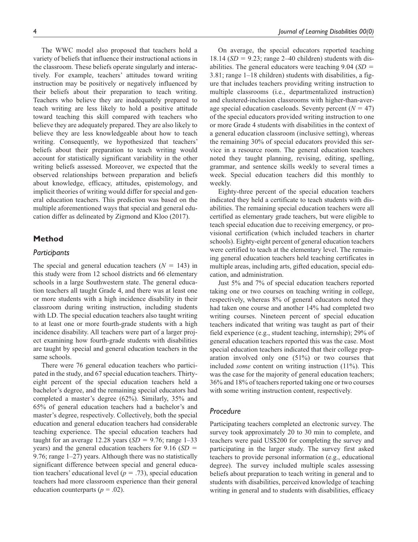The WWC model also proposed that teachers hold a variety of beliefs that influence their instructional actions in the classroom. These beliefs operate singularly and interactively. For example, teachers' attitudes toward writing instruction may be positively or negatively influenced by their beliefs about their preparation to teach writing. Teachers who believe they are inadequately prepared to teach writing are less likely to hold a positive attitude toward teaching this skill compared with teachers who believe they are adequately prepared. They are also likely to believe they are less knowledgeable about how to teach writing. Consequently, we hypothesized that teachers' beliefs about their preparation to teach writing would account for statistically significant variability in the other writing beliefs assessed. Moreover, we expected that the observed relationships between preparation and beliefs about knowledge, efficacy, attitudes, epistemology, and implicit theories of writing would differ for special and general education teachers. This prediction was based on the multiple aforementioned ways that special and general education differ as delineated by Zigmond and Kloo (2017).

# **Method**

# *Participants*

The special and general education teachers  $(N = 143)$  in this study were from 12 school districts and 66 elementary schools in a large Southwestern state. The general education teachers all taught Grade 4, and there was at least one or more students with a high incidence disability in their classroom during writing instruction, including students with LD. The special education teachers also taught writing to at least one or more fourth-grade students with a high incidence disability. All teachers were part of a larger project examining how fourth-grade students with disabilities are taught by special and general education teachers in the same schools.

There were 76 general education teachers who participated in the study, and 67 special education teachers. Thirtyeight percent of the special education teachers held a bachelor's degree, and the remaining special educators had completed a master's degree (62%). Similarly, 35% and 65% of general education teachers had a bachelor's and master's degree, respectively. Collectively, both the special education and general education teachers had considerable teaching experience. The special education teachers had taught for an average 12.28 years  $(SD = 9.76; \text{ range } 1-33)$ years) and the general education teachers for 9.16 (*SD* = 9.76; range 1–27) years. Although there was no statistically significant difference between special and general education teachers' educational level ( $p = .73$ ), special education teachers had more classroom experience than their general education counterparts (*p =* .02).

On average, the special educators reported teaching 18.14 ( $SD = 9.23$ ; range 2–40 children) students with disabilities. The general educators were teaching 9.04 (*SD* = 3.81; range 1–18 children) students with disabilities, a figure that includes teachers providing writing instruction to multiple classrooms (i.e., departmentalized instruction) and clustered-inclusion classrooms with higher-than-average special education caseloads. Seventy percent  $(N = 47)$ of the special educators provided writing instruction to one or more Grade 4 students with disabilities in the context of a general education classroom (inclusive setting), whereas the remaining 30% of special educators provided this service in a resource room. The general education teachers noted they taught planning, revising, editing, spelling, grammar, and sentence skills weekly to several times a week. Special education teachers did this monthly to weekly.

Eighty-three percent of the special education teachers indicated they held a certificate to teach students with disabilities. The remaining special education teachers were all certified as elementary grade teachers, but were eligible to teach special education due to receiving emergency, or provisional certification (which included teachers in charter schools). Eighty-eight percent of general education teachers were certified to teach at the elementary level. The remaining general education teachers held teaching certificates in multiple areas, including arts, gifted education, special education, and administration.

Just 5% and 7% of special education teachers reported taking one or two courses on teaching writing in college, respectively, whereas 8% of general educators noted they had taken one course and another 14% had completed two writing courses. Nineteen percent of special education teachers indicated that writing was taught as part of their field experience (e.g., student teaching, internship); 29% of general education teachers reported this was the case. Most special education teachers indicated that their college preparation involved only one (51%) or two courses that included *some* content on writing instruction (11%). This was the case for the majority of general education teachers; 36% and 18% of teachers reported taking one or two courses with some writing instruction content, respectively.

### *Procedure*

Participating teachers completed an electronic survey. The survey took approximately 20 to 30 min to complete, and teachers were paid US\$200 for completing the survey and participating in the larger study. The survey first asked teachers to provide personal information (e.g., educational degree). The survey included multiple scales assessing beliefs about preparation to teach writing in general and to students with disabilities, perceived knowledge of teaching writing in general and to students with disabilities, efficacy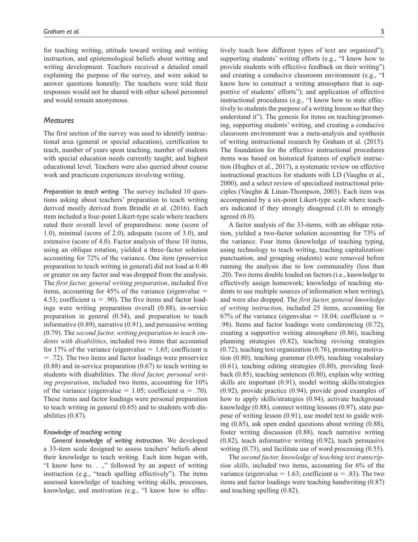for teaching writing, attitude toward writing and writing instruction, and epistemological beliefs about writing and writing development. Teachers received a detailed email explaining the purpose of the survey, and were asked to answer questions honestly. The teachers were told their responses would not be shared with other school personnel and would remain anonymous.

### *Measures*

The first section of the survey was used to identify instructional area (general or special education), certification to teach, number of years spent teaching, number of students with special education needs currently taught, and highest educational level. Teachers were also queried about course work and practicum experiences involving writing.

*Preparation to teach writing.* The survey included 10 questions asking about teachers' preparation to teach writing derived mostly derived from Brindle et al. (2016). Each item included a four-point Likert-type scale where teachers rated their overall level of preparedness: none (score of 1.0), minimal (score of 2.0), adequate (score of 3.0), and extensive (score of 4.0). Factor analysis of these 10 items, using an oblique rotation, yielded a three-factor solution accounting for 72% of the variance. One item (preservice preparation to teach writing in general) did not load at 0.40 or greater on any factor and was dropped from the analysis. The *first factor, general writing preparation*, included five items, accounting for  $45\%$  of the variance (eigenvalue = 4.53; coefficient  $\alpha = .90$ ). The five items and factor loadings were writing preparation overall (0.88), in-service preparation in general (0.54), and preparation to teach informative (0.89), narrative (0.91), and persuasive writing (0.79). The *second factor, writing preparation to teach students with disabilities*, included two items that accounted for 17% of the variance (eigenvalue = 1.65; coefficient  $\alpha$ = .72). The two items and factor loadings were preservice (0.88) and in-service preparation (0.67) to teach writing to students with disabilities. The *third factor, personal writing preparation*, included two items, accounting for 10% of the variance (eigenvalue = 1.05; coefficient  $\alpha = .70$ ). These items and factor loadings were personal preparation to teach writing in general (0.65) and to students with disabilities (0.87).

### *Knowledge of teaching writing*

*General knowledge of writing instruction.* We developed a 33-item scale designed to assess teachers' beliefs about their knowledge to teach writing. Each item began with, "I know how to. . .," followed by an aspect of writing instruction (e.g., "teach spelling effectively"). The items assessed knowledge of teaching writing skills, processes, knowledge, and motivation (e.g., "I know how to effectively teach how different types of text are organized"); supporting students' writing efforts (e.g., "I know how to provide students with effective feedback on their writing") and creating a conducive classroom environment (e.g., "I know how to construct a writing atmosphere that is supportive of students' efforts"); and application of effective instructional procedures (e.g., "I know how to state effectively to students the purpose of a writing lesson so that they understand it"). The genesis for items on teaching/promoting, supporting students' writing, and creating a conducive classroom environment was a meta-analysis and synthesis of writing instructional research by Graham et al. (2015). The foundation for the effective instructional procedures items was based on historical features of explicit instruction (Hughes et al., 2017), a systematic review on effective instructional practices for students with LD (Vaughn et al., 2000), and a select review of specialized instructional principles (Vaughn & Linan-Thompson, 2003). Each item was accompanied by a six-point Likert-type scale where teachers indicated if they strongly disagreed (1.0) to strongly agreed  $(6.0)$ .

A factor analysis of the 33-items, with an oblique rotation, yielded a two-factor solution accounting for 73% of the variance. Four items (knowledge of teaching typing, using technology to teach writing, teaching capitalization/ punctuation, and grouping students) were removed before running the analysis due to low communality (less than .20). Two items double loaded on factors (i.e., knowledge to effectively assign homework; knowledge of teaching students to use multiple sources of information when writing), and were also dropped. The *first factor, general knowledge of writing instruction*, included 25 items, accounting for 67% of the variance (eigenvalue = 18.04; coefficient  $\alpha$  = .98). Items and factor loadings were conferencing (0.72), creating a supportive writing atmosphere (0.86), teaching planning strategies (0.82), teaching revising strategies (0.72), teaching text organization (0.76), promoting motivation (0.80), teaching grammar (0.69), teaching vocabulary (0.61), teaching editing strategies (0.80), providing feedback (0.85), teaching sentences (0.80), explain why writing skills are important (0.91), model writing skills/strategies (0.92), provide practice (0.94), provide good examples of how to apply skills/strategies (0.94), activate background knowledge (0.88), connect writing lessons (0.97), state purpose of writing lesson (0.91), use model text to guide writing (0.85), ask open ended questions about writing (0.88), foster writing discussion (0.88), teach narrative writing (0.82), teach informative writing (0.92), teach persuasive writing  $(0.73)$ , and facilitate use of word processing  $(0.55)$ .

The *second factor, knowledge of teaching text transcription skills*, included two items, accounting for 6% of the variance (eigenvalue = 1.63; coefficient  $\alpha$  = .83). The two items and factor loadings were teaching handwriting (0.87) and teaching spelling (0.82).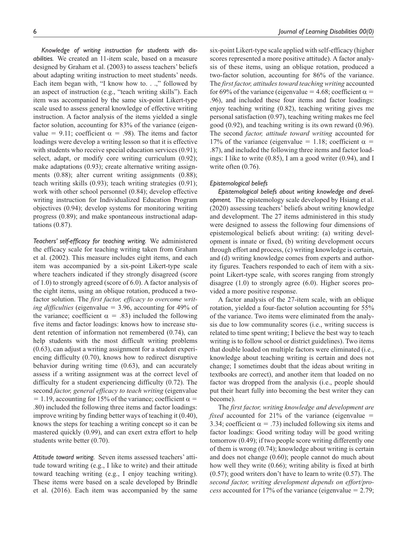tations (0.87).

*Knowledge of writing instruction for students with disabilities.* We created an 11-item scale, based on a measure designed by Graham et al. (2003) to assess teachers' beliefs about adapting writing instruction to meet students' needs. Each item began with, "I know how to. . .," followed by an aspect of instruction (e.g., "teach writing skills"). Each item was accompanied by the same six-point Likert-type scale used to assess general knowledge of effective writing instruction. A factor analysis of the items yielded a single factor solution, accounting for 83% of the variance (eigenvalue = 9.11; coefficient  $\alpha$  = .98). The items and factor loadings were develop a writing lesson so that it is effective with students who receive special education services  $(0.91)$ ; select, adapt, or modify core writing curriculum (0.92); make adaptations (0.93); create alternative writing assignments (0.88); alter current writing assignments (0.88); teach writing skills (0.93); teach writing strategies (0.91); work with other school personnel (0.84); develop effective writing instruction for Individualized Education Program objectives (0.94); develop systems for monitoring writing progress (0.89); and make spontaneous instructional adap-

*Teachers' self-efficacy for teaching writing.* We administered the efficacy scale for teaching writing taken from Graham et al. (2002). This measure includes eight items, and each item was accompanied by a six-point Likert-type scale where teachers indicated if they strongly disagreed (score of 1.0) to strongly agreed (score of 6.0). A factor analysis of the eight items, using an oblique rotation, produced a twofactor solution. The *first factor, efficacy to overcome writing difficulties* (eigenvalue = 3.96, accounting for 49% of the variance; coefficient  $\alpha = .83$ ) included the following five items and factor loadings: knows how to increase student retention of information not remembered (0.74), can help students with the most difficult writing problems (0.63), can adjust a writing assignment for a student experiencing difficulty (0.70), knows how to redirect disruptive behavior during writing time (0.63), and can accurately assess if a writing assignment was at the correct level of difficulty for a student experiencing difficulty (0.72). The second *factor, general efficacy to teach writing* (eigenvalue  $= 1.19$ , accounting for 15% of the variance; coefficient  $\alpha =$ .80) included the following three items and factor loadings: improve writing by finding better ways of teaching it (0.40), knows the steps for teaching a writing concept so it can be mastered quickly (0.99), and can exert extra effort to help students write better (0.70).

*Attitude toward writing.* Seven items assessed teachers' attitude toward writing (e.g., I like to write) and their attitude toward teaching writing (e.g., I enjoy teaching writing). These items were based on a scale developed by Brindle et al. (2016). Each item was accompanied by the same six-point Likert-type scale applied with self-efficacy (higher scores represented a more positive attitude). A factor analysis of these items, using an oblique rotation, produced a two-factor solution, accounting for 86% of the variance. The *first factor, attitudes toward teaching writing* accounted for 69% of the variance (eigenvalue = 4.68; coefficient  $\alpha$  = .96), and included these four items and factor loadings: enjoy teaching writing (0.82), teaching writing gives me personal satisfaction (0.97), teaching writing makes me feel good (0.92), and teaching writing is its own reward (0.96). The second *factor, attitude toward writing* accounted for 17% of the variance (eigenvalue = 1.18; coefficient  $\alpha$  = .87), and included the following three items and factor loadings: I like to write (0.85), I am a good writer (0.94), and I write often (0.76).

### *Epistemological beliefs*

*Epistemological beliefs about writing knowledge and development.* The epistemology scale developed by Hsiang et al. (2020) assessing teachers' beliefs about writing knowledge and development. The 27 items administered in this study were designed to assess the following four dimensions of epistemological beliefs about writing: (a) writing development is innate or fixed, (b) writing development occurs through effort and process, (c) writing knowledge is certain, and (d) writing knowledge comes from experts and authority figures. Teachers responded to each of item with a sixpoint Likert-type scale, with scores ranging from strongly disagree (1.0) to strongly agree (6.0). Higher scores provided a more positive response.

A factor analysis of the 27-item scale, with an oblique rotation, yielded a four-factor solution accounting for 55% of the variance. Two items were eliminated from the analysis due to low communality scores (i.e., writing success is related to time spent writing; I believe the best way to teach writing is to follow school or district guidelines). Two items that double loaded on multiple factors were eliminated (i.e., knowledge about teaching writing is certain and does not change; I sometimes doubt that the ideas about writing in textbooks are correct), and another item that loaded on no factor was dropped from the analysis (i.e., people should put their heart fully into becoming the best writer they can become).

The *first factor, writing knowledge and development are fixed* accounted for 21% of the variance (eigenvalue = 3.34; coefficient  $\alpha = .73$ ) included following six items and factor loadings: Good writing today will be good writing tomorrow (0.49); if two people score writing differently one of them is wrong (0.74); knowledge about writing is certain and does not change (0.60); people cannot do much about how well they write (0.66); writing ability is fixed at birth (0.57); good writers don't have to learn to write (0.57). The *second factor, writing development depends on effort/process* accounted for 17% of the variance (eigenvalue = 2.79;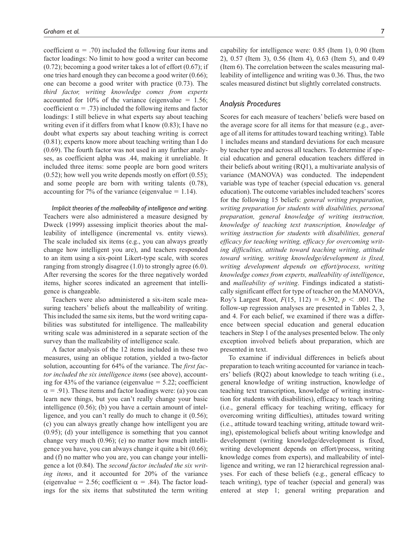coefficient  $\alpha = .70$ ) included the following four items and factor loadings: No limit to how good a writer can become  $(0.72)$ ; becoming a good writer takes a lot of effort  $(0.67)$ ; if one tries hard enough they can become a good writer (0.66); one can become a good writer with practice (0.73). The *third factor, writing knowledge comes from experts* accounted for 10% of the variance (eigenvalue  $= 1.56$ ; coefficient  $\alpha = .73$ ) included the following items and factor loadings: I still believe in what experts say about teaching writing even if it differs from what I know (0.83); I have no doubt what experts say about teaching writing is correct (0.81); experts know more about teaching writing than I do (0.69). The fourth factor was not used in any further analyses, as coefficient alpha was .44, making it unreliable. It included three items: some people are born good writers  $(0.52)$ ; how well you write depends mostly on effort  $(0.55)$ ; and some people are born with writing talents (0.78), accounting for 7% of the variance (eigenvalue  $= 1.14$ ).

*Implicit theories of the malleability of intelligence and writing.* Teachers were also administered a measure designed by Dweck (1999) assessing implicit theories about the malleability of intelligence (incremental vs. entity views). The scale included six items (e.g., you can always greatly change how intelligent you are), and teachers responded to an item using a six-point Likert-type scale, with scores ranging from strongly disagree (1.0) to strongly agree (6.0). After reversing the scores for the three negatively worded items, higher scores indicated an agreement that intelligence is changeable.

Teachers were also administered a six-item scale measuring teachers' beliefs about the malleability of writing. This included the same six items, but the word writing capabilities was substituted for intelligence. The malleability writing scale was administered in a separate section of the survey than the malleability of intelligence scale.

A factor analysis of the 12 items included in these two measures, using an oblique rotation, yielded a two-factor solution, accounting for 64% of the variance. The *first factor included the six intelligence items* (see above), accounting for 43% of the variance (eigenvalue  $= 5.22$ ; coefficient  $\alpha$  = .91). These items and factor loadings were: (a) you can learn new things, but you can't really change your basic intelligence (0.56); (b) you have a certain amount of intelligence, and you can't really do much to change it (0.56); (c) you can always greatly change how intelligent you are (0.95); (d) your intelligence is something that you cannot change very much (0.96); (e) no matter how much intelligence you have, you can always change it quite a bit (0.66); and (f) no matter who you are, you can change your intelligence a lot (0.84). The *second factor included the six writing items*, and it accounted for 20% of the variance (eigenvalue = 2.56; coefficient  $\alpha$  = .84). The factor loadings for the six items that substituted the term writing

capability for intelligence were: 0.85 (Item 1), 0.90 (Item 2), 0.57 (Item 3), 0.56 (Item 4), 0.63 (Item 5), and 0.49 (Item 6). The correlation between the scales measuring malleability of intelligence and writing was 0.36. Thus, the two scales measured distinct but slightly correlated constructs.

# *Analysis Procedures*

Scores for each measure of teachers' beliefs were based on the average score for all items for that measure (e.g., average of all items for attitudes toward teaching writing). Table 1 includes means and standard deviations for each measure by teacher type and across all teachers. To determine if special education and general education teachers differed in their beliefs about writing (RQ1), a multivariate analysis of variance (MANOVA) was conducted. The independent variable was type of teacher (special education vs. general education). The outcome variables included teachers' scores for the following 15 beliefs: *general writing preparation, writing preparation for students with disabilities, personal preparation, general knowledge of writing instruction, knowledge of teaching text transcription, knowledge of writing instruction for students with disabilities, general efficacy for teaching writing, efficacy for overcoming writing difficulties, attitude toward teaching writing, attitude toward writing, writing knowledge/development is fixed, writing development depends on effort/process, writing knowledge comes from experts, malleability of intelligence*, and *malleability of writing*. Findings indicated a statistically significant effect for type of teacher on the MANOVA, Roy's Largest Root,  $F(15, 112) = 6.392$ ,  $p < .001$ . The follow-up regression analyses are presented in Tables 2, 3, and 4. For each belief, we examined if there was a difference between special education and general education teachers in Step 1 of the analyses presented below. The only exception involved beliefs about preparation, which are presented in text.

To examine if individual differences in beliefs about preparation to teach writing accounted for variance in teachers' beliefs (RQ2) about knowledge to teach writing (i.e., general knowledge of writing instruction, knowledge of teaching text transcription, knowledge of writing instruction for students with disabilities), efficacy to teach writing (i.e., general efficacy for teaching writing, efficacy for overcoming writing difficulties), attitudes toward writing (i.e., attitude toward teaching writing, attitude toward writing), epistemological beliefs about writing knowledge and development (writing knowledge/development is fixed, writing development depends on effort/process, writing knowledge comes from experts), and malleability of intelligence and writing, we ran 12 hierarchical regression analyses. For each of these beliefs (e.g., general efficacy to teach writing), type of teacher (special and general) was entered at step 1; general writing preparation and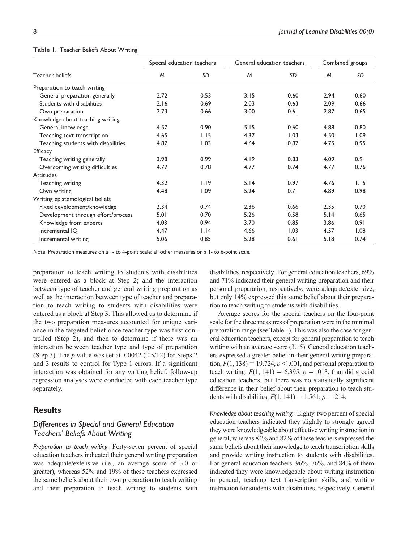|                                     | Special education teachers |      | General education teachers |      | Combined groups |      |  |
|-------------------------------------|----------------------------|------|----------------------------|------|-----------------|------|--|
| Teacher beliefs                     | M                          | SD   | M                          | SD   | M               | SD   |  |
| Preparation to teach writing        |                            |      |                            |      |                 |      |  |
| General preparation generally       | 2.72                       | 0.53 | 3.15                       | 0.60 | 2.94            | 0.60 |  |
| Students with disabilities          | 2.16                       | 0.69 | 2.03                       | 0.63 | 2.09            | 0.66 |  |
| Own preparation                     | 2.73                       | 0.66 | 3.00                       | 0.61 | 2.87            | 0.65 |  |
| Knowledge about teaching writing    |                            |      |                            |      |                 |      |  |
| General knowledge                   | 4.57                       | 0.90 | 5.15                       | 0.60 | 4.88            | 0.80 |  |
| Teaching text transcription         | 4.65                       | 1.15 | 4.37                       | 1.03 | 4.50            | 1.09 |  |
| Teaching students with disabilities | 4.87                       | 1.03 | 4.64                       | 0.87 | 4.75            | 0.95 |  |
| Efficacy                            |                            |      |                            |      |                 |      |  |
| Teaching writing generally          | 3.98                       | 0.99 | 4.19                       | 0.83 | 4.09            | 0.91 |  |
| Overcoming writing difficulties     | 4.77                       | 0.78 | 4.77                       | 0.74 | 4.77            | 0.76 |  |
| <b>Attitudes</b>                    |                            |      |                            |      |                 |      |  |
| Teaching writing                    | 4.32                       | 1.19 | 5.14                       | 0.97 | 4.76            | 1.15 |  |
| Own writing                         | 4.48                       | 1.09 | 5.24                       | 0.71 | 4.89            | 0.98 |  |
| Writing epistemological beliefs     |                            |      |                            |      |                 |      |  |
| Fixed development/knowledge         | 2.34                       | 0.74 | 2.36                       | 0.66 | 2.35            | 0.70 |  |
| Development through effort/process  | 5.01                       | 0.70 | 5.26                       | 0.58 | 5.14            | 0.65 |  |
| Knowledge from experts              | 4.03                       | 0.94 | 3.70                       | 0.85 | 3.86            | 0.91 |  |
| Incremental IQ                      | 4.47                       | 1.14 | 4.66                       | 1.03 | 4.57            | 1.08 |  |
| Incremental writing                 | 5.06                       | 0.85 | 5.28                       | 0.61 | 5.18            | 0.74 |  |

#### **Table 1.** Teacher Beliefs About Writing.

Note. Preparation measures on a 1- to 4-point scale; all other measures on a 1- to 6-point scale.

preparation to teach writing to students with disabilities were entered as a block at Step 2; and the interaction between type of teacher and general writing preparation as well as the interaction between type of teacher and preparation to teach writing to students with disabilities were entered as a block at Step 3. This allowed us to determine if the two preparation measures accounted for unique variance in the targeted belief once teacher type was first controlled (Step 2), and then to determine if there was an interaction between teacher type and type of preparation (Step 3). The *p* value was set at .00042 (.05/12) for Steps 2 and 3 results to control for Type 1 errors. If a significant interaction was obtained for any writing belief, follow-up regression analyses were conducted with each teacher type separately.

# **Results**

# *Differences in Special and General Education Teachers' Beliefs About Writing*

*Preparation to teach writing.* Forty-seven percent of special education teachers indicated their general writing preparation was adequate/extensive (i.e., an average score of 3.0 or greater), whereas 52% and 19% of these teachers expressed the same beliefs about their own preparation to teach writing and their preparation to teach writing to students with disabilities, respectively. For general education teachers, 69% and 71% indicated their general writing preparation and their personal preparation, respectively, were adequate/extensive, but only 14% expressed this same belief about their preparation to teach writing to students with disabilities.

Average scores for the special teachers on the four-point scale for the three measures of preparation were in the minimal preparation range (see Table 1). This was also the case for general education teachers, except for general preparation to teach writing with an average score (3.15). General education teachers expressed a greater belief in their general writing preparation,  $F(1, 138) = 19.724, p < .001$ , and personal preparation to teach writing,  $F(1, 141) = 6.395$ ,  $p = .013$ , than did special education teachers, but there was no statistically significant difference in their belief about their preparation to teach students with disabilities, *F*(1, 141) = 1.561, *p =* .214.

*Knowledge about teaching writing.* Eighty-two percent of special education teachers indicated they slightly to strongly agreed they were knowledgeable about effective writing instruction in general, whereas 84% and 82% of these teachers expressed the same beliefs about their knowledge to teach transcription skills and provide writing instruction to students with disabilities. For general education teachers, 96%, 76%, and 84% of them indicated they were knowledgeable about writing instruction in general, teaching text transcription skills, and writing instruction for students with disabilities, respectively. General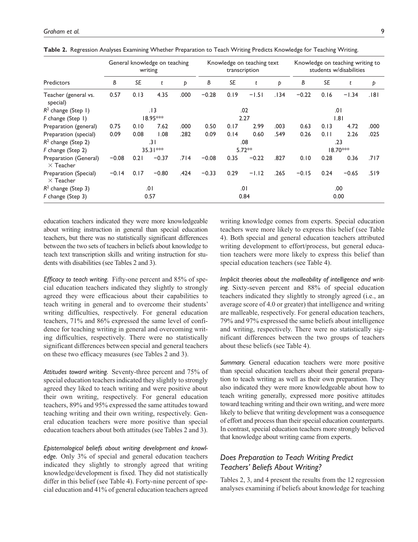|                                           |           | writing   | General knowledge on teaching |      |         |           | Knowledge on teaching text<br>transcription |      |         |      | Knowledge on teaching writing to<br>students w/disabilities |      |
|-------------------------------------------|-----------|-----------|-------------------------------|------|---------|-----------|---------------------------------------------|------|---------|------|-------------------------------------------------------------|------|
| Predictors                                | В         | <b>SE</b> | t                             | Þ    | В       | <b>SE</b> | t                                           | Þ    | В       | SE   | t                                                           | Þ    |
| Teacher (general vs.<br>special)          | 0.57      | 0.13      | 4.35                          | .000 | $-0.28$ | 0.19      | $-1.51$                                     | .134 | $-0.22$ | 0.16 | $-1.34$                                                     | .181 |
| $R^2$ change (Step 1)                     |           |           | . I 3                         |      |         |           | .02                                         |      |         |      | .01                                                         |      |
| F change (Step 1)                         |           |           | 18.95***                      |      |         |           | 2.27                                        |      |         |      | 1.81                                                        |      |
| Preparation (general)                     | 0.75      | 0.10      | 7.62                          | .000 | 0.50    | 0.17      | 2.99                                        | .003 | 0.63    | 0.13 | 4.72                                                        | .000 |
| Preparation (special)                     | 0.09      | 0.08      | 1.08                          | .282 | 0.09    | 0.14      | 0.60                                        | .549 | 0.26    | 0.11 | 2.26                                                        | .025 |
| $R^2$ change (Step 2)                     |           |           | ا 3.                          |      |         |           | .08                                         |      |         |      | .23                                                         |      |
| F change (Step 2)                         | 35.31 *** |           |                               |      |         | $5.72**$  |                                             |      |         |      | $18.70***$                                                  |      |
| Preparation (General)<br>$\times$ Teacher | $-0.08$   | 0.21      | $-0.37$                       | .714 | $-0.08$ | 0.35      | $-0.22$                                     | .827 | 0.10    | 0.28 | 0.36                                                        | .717 |
| Preparation (Special)<br>$\times$ Teacher | $-0.14$   | 0.17      | $-0.80$                       | .424 | $-0.33$ | 0.29      | $-1.12$                                     | .265 | $-0.15$ | 0.24 | $-0.65$                                                     | .519 |
| $R2$ change (Step 3)                      |           |           | .01                           |      |         |           | .01                                         |      |         |      | .00                                                         |      |
| F change (Step 3)                         |           |           | 0.57                          |      |         |           | 0.84                                        |      |         |      | 0.00                                                        |      |

**Table 2.** Regression Analyses Examining Whether Preparation to Teach Writing Predicts Knowledge for Teaching Writing.

education teachers indicated they were more knowledgeable about writing instruction in general than special education teachers, but there was no statistically significant differences between the two sets of teachers in beliefs about knowledge to teach text transcription skills and writing instruction for students with disabilities (see Tables 2 and 3).

*Efficacy to teach writing.* Fifty-one percent and 85% of special education teachers indicated they slightly to strongly agreed they were efficacious about their capabilities to teach writing in general and to overcome their students' writing difficulties, respectively. For general education teachers, 71% and 86% expressed the same level of confidence for teaching writing in general and overcoming writing difficulties, respectively. There were no statistically significant differences between special and general teachers on these two efficacy measures (see Tables 2 and 3).

*Attitudes toward writing.* Seventy-three percent and 75% of special education teachers indicated they slightly to strongly agreed they liked to teach writing and were positive about their own writing, respectively. For general education teachers, 89% and 95% expressed the same attitudes toward teaching writing and their own writing, respectively. General education teachers were more positive than special education teachers about both attitudes (see Tables 2 and 3).

*Epistemological beliefs about writing development and knowledge.* Only 3% of special and general education teachers indicated they slightly to strongly agreed that writing knowledge/development is fixed. They did not statistically differ in this belief (see Table 4). Forty-nine percent of special education and 41% of general education teachers agreed writing knowledge comes from experts. Special education teachers were more likely to express this belief (see Table 4). Both special and general education teachers attributed writing development to effort/process, but general education teachers were more likely to express this belief than special education teachers (see Table 4).

*Implicit theories about the malleability of intelligence and writing.* Sixty-seven percent and 88% of special education teachers indicated they slightly to strongly agreed (i.e., an average score of 4.0 or greater) that intelligence and writing are malleable, respectively. For general education teachers, 79% and 97% expressed the same beliefs about intelligence and writing, respectively. There were no statistically significant differences between the two groups of teachers about these beliefs (see Table 4).

*Summary.* General education teachers were more positive than special education teachers about their general preparation to teach writing as well as their own preparation. They also indicated they were more knowledgeable about how to teach writing generally, expressed more positive attitudes toward teaching writing and their own writing, and were more likely to believe that writing development was a consequence of effort and process than their special education counterparts. In contrast, special education teachers more strongly believed that knowledge about writing came from experts.

# *Does Preparation to Teach Writing Predict Teachers' Beliefs About Writing?*

Tables 2, 3, and 4 present the results from the 12 regression analyses examining if beliefs about knowledge for teaching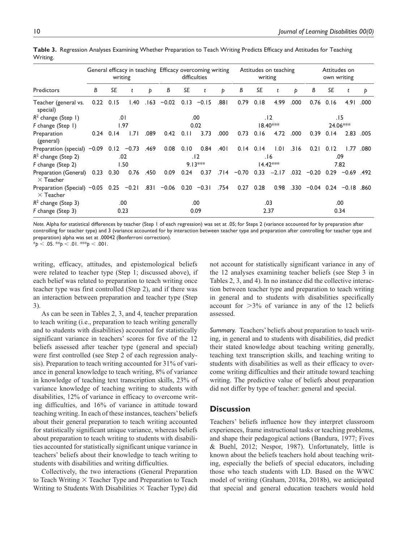|                                                                     |      | writing       |      |        | General efficacy in teaching Efficacy overcoming writing |      | difficulties |       |         | writing       | Attitudes on teaching |      |         | Attitudes on<br>own writing |              |      |
|---------------------------------------------------------------------|------|---------------|------|--------|----------------------------------------------------------|------|--------------|-------|---------|---------------|-----------------------|------|---------|-----------------------------|--------------|------|
| <b>Predictors</b>                                                   | B    | SE            | t    | Þ      | В                                                        | SE   | t            | Þ     | В       | SE            | t                     | Þ    | В       | <b>SE</b>                   | t            | Þ    |
| Teacher (general vs.<br>special)                                    | 0.22 | 0.15          | 1.40 | . 63 . | $-0.02$                                                  | 0.13 | $-0.15$      | .881  | 0.79    | 0.18          | 4.99                  | .000 | 0.76    | 0.16                        | 4.91         | .000 |
| $R2$ change (Step 1)                                                |      |               | 0۱.  |        |                                                          |      | .00          |       |         |               | .12                   |      |         |                             | 15.          |      |
| F change (Step 1)                                                   |      |               | 1.97 |        |                                                          |      | 0.02         |       |         |               | $18.40***$            |      |         |                             | 24.06***     |      |
| Preparation<br>(general)                                            |      | $0.24$ $0.14$ | 1.71 | .089   | 0.42                                                     | 0.11 | 3.73         | .000  | 0.73    | 0.16          | 4.72                  | .000 | 0.39    | 0.14                        | 2.83         | .005 |
| Preparation (special) $-0.09$ 0.12 $-0.73$ .469                     |      |               |      |        | 0.08                                                     | 0.10 | 0.84         | .401  |         | $0.14$ $0.14$ | 1.01                  | .316 | 0.21    | 0.12                        | 1.77         | .080 |
| $R2$ change (Step 2)                                                |      |               | .02  |        |                                                          |      | . 12         |       |         |               | 6 .                   |      |         |                             | .09          |      |
| F change (Step 2)                                                   |      |               | 1.50 |        |                                                          |      | $9.13***$    |       |         |               | $14.42***$            |      |         |                             | 7.82         |      |
| Preparation (General)<br>$\times$ Teacher                           | 0.23 | 0.30          | 0.76 | .450   | 0.09                                                     | 0.24 | 0.37         | -714. | $-0.70$ | 0.33          | $-2.17$               | .032 | $-0.20$ | 0.29                        | $-0.69$ .492 |      |
| Preparation (Special) $-0.05$ 0.25 $-0.21$ .831<br>$\times$ Teacher |      |               |      |        | $-0.06$ 0.20 $-0.31$                                     |      |              | .754  | 0.27    | 0.28          | 0.98                  | .330 | $-0.04$ |                             | $0.24 -0.18$ | .860 |
| $R2$ change (Step 3)                                                |      |               | .00  |        |                                                          |      | .00          |       |         |               | .03                   |      |         |                             | .00          |      |
| F change (Step 3)                                                   |      |               | 0.23 |        |                                                          |      | 0.09         |       |         |               | 2.37                  |      |         |                             | 0.34         |      |

**Table 3.** Regression Analyses Examining Whether Preparation to Teach Writing Predicts Efficacy and Attitudes for Teaching Writing.

*Note.* Alpha for statistical differences by teacher (Step 1 of each regression) was set at .05; for Steps 2 (variance accounted for by preparation after controlling for teacher type) and 3 (variance accounted for by interaction between teacher type and preparation after controlling for teacher type and preparation) alpha was set at .00042 (Bonferroni correction).

\**p* < .05. \*\**p* < .01. \*\*\**p* < .001.

writing, efficacy, attitudes, and epistemological beliefs were related to teacher type (Step 1; discussed above), if each belief was related to preparation to teach writing once teacher type was first controlled (Step 2), and if there was an interaction between preparation and teacher type (Step 3).

As can be seen in Tables 2, 3, and 4, teacher preparation to teach writing (i.e., preparation to teach writing generally and to students with disabilities) accounted for statistically significant variance in teachers' scores for five of the 12 beliefs assessed after teacher type (general and special) were first controlled (see Step 2 of each regression analysis). Preparation to teach writing accounted for 31% of variance in general knowledge to teach writing, 8% of variance in knowledge of teaching text transcription skills, 23% of variance knowledge of teaching writing to students with disabilities, 12% of variance in efficacy to overcome writing difficulties, and 16% of variance in attitude toward teaching writing. In each of these instances, teachers' beliefs about their general preparation to teach writing accounted for statistically significant unique variance, whereas beliefs about preparation to teach writing to students with disabilities accounted for statistically significant unique variance in teachers' beliefs about their knowledge to teach writing to students with disabilities and writing difficulties.

Collectively, the two interactions (General Preparation to Teach Writing  $\times$  Teacher Type and Preparation to Teach Writing to Students With Disabilities  $\times$  Teacher Type) did not account for statistically significant variance in any of the 12 analyses examining teacher beliefs (see Step 3 in Tables 2, 3, and 4). In no instance did the collective interaction between teacher type and preparation to teach writing in general and to students with disabilities specifically account for  $>3\%$  of variance in any of the 12 beliefs assessed.

*Summary.* Teachers' beliefs about preparation to teach writing, in general and to students with disabilities, did predict their stated knowledge about teaching writing generally, teaching text transcription skills, and teaching writing to students with disabilities as well as their efficacy to overcome writing difficulties and their attitude toward teaching writing. The predictive value of beliefs about preparation did not differ by type of teacher: general and special.

### **Discussion**

Teachers' beliefs influence how they interpret classroom experiences, frame instructional tasks or teaching problems, and shape their pedagogical actions (Bandura, 1977; Fives & Buehl, 2012; Nespor, 1987). Unfortunately, little is known about the beliefs teachers hold about teaching writing, especially the beliefs of special educators, including those who teach students with LD. Based on the WWC model of writing (Graham, 2018a, 2018b), we anticipated that special and general education teachers would hold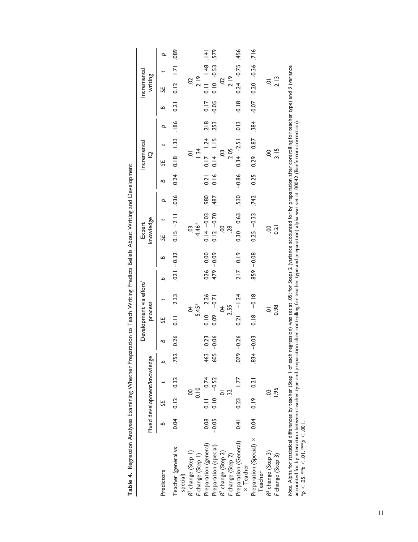|                                                                                                                                                                                                       |             |                      | Fixed development/knowledge |               |         | process                    | Development via effort/ |   |            | knowledge<br>Expert  |      |         | Incremental<br>$\Omega$ |      |             | Incremental<br>writing |            |
|-------------------------------------------------------------------------------------------------------------------------------------------------------------------------------------------------------|-------------|----------------------|-----------------------------|---------------|---------|----------------------------|-------------------------|---|------------|----------------------|------|---------|-------------------------|------|-------------|------------------------|------------|
| Predictors                                                                                                                                                                                            | ≏           | 5F                   |                             | $\mathbf{a}$  | ≏       | SE                         |                         | Þ | ≏          | SE                   | Þ    | ≏       | SE                      | م    | ⊴           | SE                     | Þ          |
| Teacher (general vs.<br>special)                                                                                                                                                                      |             | $0.04$ $0.12$ $0.32$ |                             |               | 52 0.26 | $\frac{1}{2}$              | 2.33                    |   | $-0.32$    | $0.15 -2.11$         | 036  |         | $0.24$ $0.18$ 1.33 .186 |      | 0.21        | $0.12$ 1.71            | <b>680</b> |
| R <sup>2</sup> change (Step 1)                                                                                                                                                                        |             |                      |                             |               |         | Ś.                         |                         |   |            | C <sub>O</sub>       |      |         | $\overline{Q}$          |      |             | S                      |            |
| F change (Step 1)                                                                                                                                                                                     |             |                      | 0.10                        |               |         | $5.45*$                    |                         |   |            | 4.46*                |      |         | $\frac{34}{3}$          |      |             | 2.19                   |            |
| Preparation (general)                                                                                                                                                                                 | 0.08        |                      | $0.11$ 0.74                 | .463          | 0.23    | $0.10$ 2.26                |                         |   | 026 0.00   | $0.14 - 0.03$        | .980 | 0.21    | $0.17$ 1.24             | .218 | 0.17        | $141$ 48 .141          |            |
| Preparation (special)                                                                                                                                                                                 | $-0.05$     |                      | $0.10 - 0.52$               | $-0.06$       |         | $0.09 - 0.71$              |                         |   | $-0.09$    | $0.12 - 0.70$        | 487  | 0.16    | $0.14$ 1.15             | 253  | $-0.05$     | $0.10 - 0.53$ .579     |            |
| R <sup>2</sup> change (Step 2)                                                                                                                                                                        |             |                      |                             |               |         | Š.                         |                         |   |            | S                    |      |         | S                       |      |             | S                      |            |
| F change (Step 2)                                                                                                                                                                                     |             |                      | 32                          |               |         | 2.55                       |                         |   |            | $\frac{8}{2}$        |      |         | 2.05                    |      |             | 2.19                   |            |
| Preparation (General)<br>$\times$ Teacher                                                                                                                                                             | $rac{4}{5}$ | $0.23$ 1.77          |                             | $-0.26$       |         | $0.21 - 1.24$              |                         |   | 2170.19    | 0.30 0.63            | 530  | $-0.86$ | $0.34 - 2.51$           | .013 | $rac{8}{9}$ | 0.24 -0.75             | .456       |
| Preparation (Special) × 0.04<br>Teacher                                                                                                                                                               |             | $0.19$ $0.21$        |                             | $.834 - 0.03$ |         | $\frac{8}{10}$             | $-0.18$                 |   | 859 - 0.08 | $0.25 - 0.33$        | .742 | 0.25    | $0.29$ $0.87$           | .384 | $-0.07$     | $0.20 - 0.36$ .716     |            |
| R <sup>2</sup> change (Step 3)<br>F change (Step 3)                                                                                                                                                   |             |                      | <b>1.95</b>                 |               |         | 0.98<br>$\overline{\circ}$ |                         |   |            | S.<br>$\frac{2}{10}$ |      |         | 3.15<br>S               |      |             | 2.13                   |            |
|                                                                                                                                                                                                       |             |                      |                             |               |         |                            |                         |   |            |                      |      |         |                         |      |             |                        |            |
| Note. Alpha for statistical differences by teacher (Step I of each regression) was set at .05; for Steps 2 (variance accounted for by preparation after controlling for teacher type) and 3 (variance |             |                      |                             |               |         |                            |                         |   |            |                      |      |         |                         |      |             |                        |            |

accounted for by interaction between teacher type and preparation after controlling for teacher type and preparation) alpha was set at .00042 (Bonferroni correction).

\**p* < .05. \*\**p* < .01. \*\*\**p* < .001.

| I<br>I<br>non'                                   |  |
|--------------------------------------------------|--|
| $\overline{a}$<br>Ï<br>$\ddot{\phantom{a}}$<br>l |  |
| ١<br>ĺ<br>j<br>I                                 |  |
| )<br>;                                           |  |
| į<br>j<br>i                                      |  |
| ׇ֚֓֡                                             |  |
| l<br>l able 4.<br>l                              |  |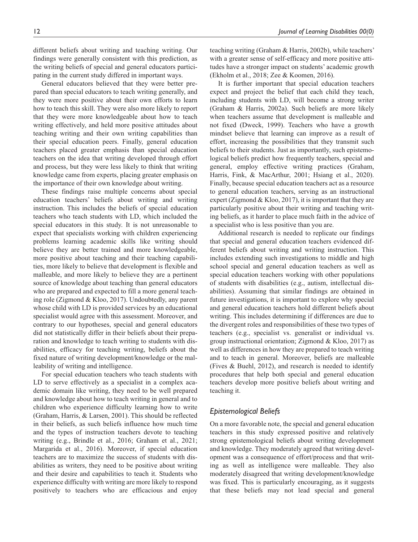different beliefs about writing and teaching writing. Our findings were generally consistent with this prediction, as the writing beliefs of special and general educators participating in the current study differed in important ways.

General educators believed that they were better prepared than special educators to teach writing generally, and they were more positive about their own efforts to learn how to teach this skill. They were also more likely to report that they were more knowledgeable about how to teach writing effectively, and held more positive attitudes about teaching writing and their own writing capabilities than their special education peers. Finally, general education teachers placed greater emphasis than special education teachers on the idea that writing developed through effort and process, but they were less likely to think that writing knowledge came from experts, placing greater emphasis on the importance of their own knowledge about writing.

These findings raise multiple concerns about special education teachers' beliefs about writing and writing instruction. This includes the beliefs of special education teachers who teach students with LD, which included the special educators in this study. It is not unreasonable to expect that specialists working with children experiencing problems learning academic skills like writing should believe they are better trained and more knowledgeable, more positive about teaching and their teaching capabilities, more likely to believe that development is flexible and malleable, and more likely to believe they are a pertinent source of knowledge about teaching than general educators who are prepared and expected to fill a more general teaching role (Zigmond & Kloo, 2017). Undoubtedly, any parent whose child with LD is provided services by an educational specialist would agree with this assessment. Moreover, and contrary to our hypotheses, special and general educators did not statistically differ in their beliefs about their preparation and knowledge to teach writing to students with disabilities, efficacy for teaching writing, beliefs about the fixed nature of writing development/knowledge or the malleability of writing and intelligence.

For special education teachers who teach students with LD to serve effectively as a specialist in a complex academic domain like writing, they need to be well prepared and knowledge about how to teach writing in general and to children who experience difficulty learning how to write (Graham, Harris, & Larsen, 2001). This should be reflected in their beliefs, as such beliefs influence how much time and the types of instruction teachers devote to teaching writing (e.g., Brindle et al., 2016; Graham et al., 2021; Margarida et al., 2016). Moreover, if special education teachers are to maximize the success of students with disabilities as writers, they need to be positive about writing and their desire and capabilities to teach it. Students who experience difficulty with writing are more likely to respond positively to teachers who are efficacious and enjoy teaching writing (Graham & Harris, 2002b), while teachers' with a greater sense of self-efficacy and more positive attitudes have a stronger impact on students' academic growth (Ekholm et al., 2018; Zee & Koomen, 2016).

It is further important that special education teachers expect and project the belief that each child they teach, including students with LD, will become a strong writer (Graham & Harris, 2002a). Such beliefs are more likely when teachers assume that development is malleable and not fixed (Dweck, 1999). Teachers who have a growth mindset believe that learning can improve as a result of effort, increasing the possibilities that they transmit such beliefs to their students. Just as importantly, such epistemological beliefs predict how frequently teachers, special and general, employ effective writing practices (Graham, Harris, Fink, & MacArthur, 2001; Hsiang et al., 2020). Finally, because special education teachers act as a resource to general education teachers, serving as an instructional expert (Zigmond & Kloo, 2017), it is important that they are particularly positive about their writing and teaching writing beliefs, as it harder to place much faith in the advice of a specialist who is less positive than you are.

Additional research is needed to replicate our findings that special and general education teachers evidenced different beliefs about writing and writing instruction. This includes extending such investigations to middle and high school special and general education teachers as well as special education teachers working with other populations of students with disabilities (e.g., autism, intellectual disabilities). Assuming that similar findings are obtained in future investigations, it is important to explore why special and general education teachers hold different beliefs about writing. This includes determining if differences are due to the divergent roles and responsibilities of these two types of teachers (e.g., specialist vs. generalist or individual vs. group instructional orientation; Zigmond & Kloo, 2017) as well as differences in how they are prepared to teach writing and to teach in general. Moreover, beliefs are malleable (Fives & Buehl, 2012), and research is needed to identify procedures that help both special and general education teachers develop more positive beliefs about writing and teaching it.

# *Epistemological Beliefs*

On a more favorable note, the special and general education teachers in this study expressed positive and relatively strong epistemological beliefs about writing development and knowledge. They moderately agreed that writing development was a consequence of effort/process and that writing as well as intelligence were malleable. They also moderately disagreed that writing development/knowledge was fixed. This is particularly encouraging, as it suggests that these beliefs may not lead special and general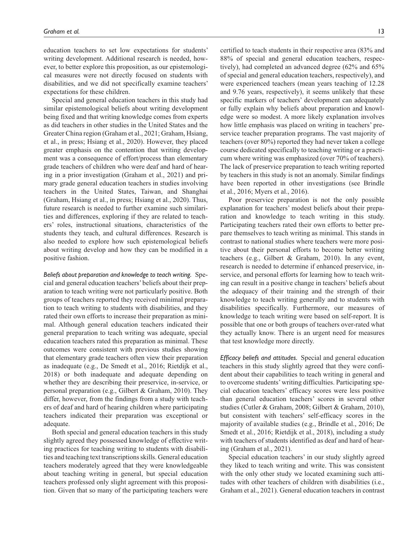education teachers to set low expectations for students' writing development. Additional research is needed, however, to better explore this proposition, as our epistemological measures were not directly focused on students with disabilities, and we did not specifically examine teachers' expectations for these children.

Special and general education teachers in this study had similar epistemological beliefs about writing development being fixed and that writing knowledge comes from experts as did teachers in other studies in the United States and the Greater China region (Graham et al., 2021; Graham, Hsiang, et al., in press; Hsiang et al., 2020). However, they placed greater emphasis on the contention that writing development was a consequence of effort/process than elementary grade teachers of children who were deaf and hard of hearing in a prior investigation (Graham et al., 2021) and primary grade general education teachers in studies involving teachers in the United States, Taiwan, and Shanghai (Graham, Hsiang et al., in press; Hsiang et al., 2020). Thus, future research is needed to further examine such similarities and differences, exploring if they are related to teachers' roles, instructional situations, characteristics of the students they teach, and cultural differences. Research is also needed to explore how such epistemological beliefs about writing develop and how they can be modified in a positive fashion.

*Beliefs about preparation and knowledge to teach writing.* Special and general education teachers' beliefs about their preparation to teach writing were not particularly positive. Both groups of teachers reported they received minimal preparation to teach writing to students with disabilities, and they rated their own efforts to increase their preparation as minimal. Although general education teachers indicated their general preparation to teach writing was adequate, special education teachers rated this preparation as minimal. These outcomes were consistent with previous studies showing that elementary grade teachers often view their preparation as inadequate (e.g., De Smedt et al., 2016; Rietdijk et al., 2018) or both inadequate and adequate depending on whether they are describing their preservice, in-service, or personal preparation (e.g., Gilbert & Graham, 2010). They differ, however, from the findings from a study with teachers of deaf and hard of hearing children where participating teachers indicated their preparation was exceptional or adequate.

Both special and general education teachers in this study slightly agreed they possessed knowledge of effective writing practices for teaching writing to students with disabilities and teaching text transcriptions skills. General education teachers moderately agreed that they were knowledgeable about teaching writing in general, but special education teachers professed only slight agreement with this proposition. Given that so many of the participating teachers were

certified to teach students in their respective area (83% and 88% of special and general education teachers, respectively), had completed an advanced degree (62% and 65% of special and general education teachers, respectively), and were experienced teachers (mean years teaching of 12.28 and 9.76 years, respectively), it seems unlikely that these specific markers of teachers' development can adequately or fully explain why beliefs about preparation and knowledge were so modest. A more likely explanation involves how little emphasis was placed on writing in teachers' preservice teacher preparation programs. The vast majority of teachers (over 80%) reported they had never taken a college course dedicated specifically to teaching writing or a practicum where writing was emphasized (over 70% of teachers). The lack of preservice preparation to teach writing reported by teachers in this study is not an anomaly. Similar findings have been reported in other investigations (see Brindle et al., 2016; Myers et al., 2016).

Poor preservice preparation is not the only possible explanation for teachers' modest beliefs about their preparation and knowledge to teach writing in this study. Participating teachers rated their own efforts to better prepare themselves to teach writing as minimal. This stands in contrast to national studies where teachers were more positive about their personal efforts to become better writing teachers (e.g., Gilbert & Graham, 2010). In any event, research is needed to determine if enhanced preservice, inservice, and personal efforts for learning how to teach writing can result in a positive change in teachers' beliefs about the adequacy of their training and the strength of their knowledge to teach writing generally and to students with disabilities specifically. Furthermore, our measures of knowledge to teach writing were based on self-report. It is possible that one or both groups of teachers over-rated what they actually know. There is an urgent need for measures that test knowledge more directly.

*Efficacy beliefs and attitudes.* Special and general education teachers in this study slightly agreed that they were confident about their capabilities to teach writing in general and to overcome students' writing difficulties. Participating special education teachers' efficacy scores were less positive than general education teachers' scores in several other studies (Cutler & Graham, 2008; Gilbert & Graham, 2010), but consistent with teachers' self-efficacy scores in the majority of available studies (e.g., Brindle et al., 2016; De Smedt et al., 2016; Rietdijk et al., 2018), including a study with teachers of students identified as deaf and hard of hearing (Graham et al., 2021).

Special education teachers' in our study slightly agreed they liked to teach writing and write. This was consistent with the only other study we located examining such attitudes with other teachers of children with disabilities (i.e., Graham et al., 2021). General education teachers in contrast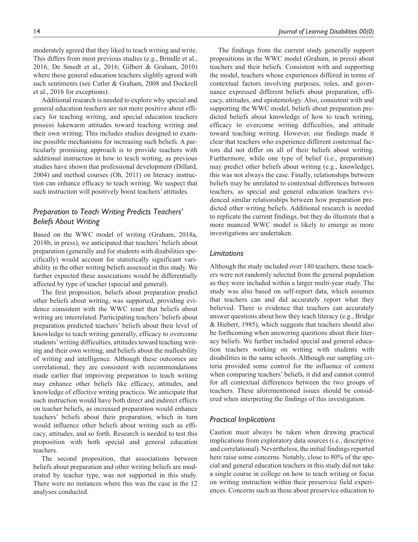moderately agreed that they liked to teach writing and write. This differs from most previous studies (e.g., Brindle et al., 2016; De Smedt et al., 2016; Gilbert & Graham, 2010) where these general education teachers slightly agreed with such sentiments (see Cutler & Graham, 2008 and Dockrell et al., 2016 for exceptions).

Additional research is needed to explore why special and general education teachers are not more positive about efficacy for teaching writing, and special education teachers possess lukewarm attitudes toward teaching writing and their own writing. This includes studies designed to examine possible mechanisms for increasing such beliefs. A particularly promising approach is to provide teachers with additional instruction in how to teach writing, as previous studies have shown that professional development (Dillard, 2004) and method courses (Oh, 2011) on literacy instruction can enhance efficacy to teach writing. We suspect that such instruction will positively boost teachers' attitudes.

# *Preparation to Teach Writing Predicts Teachers' Beliefs About Writing*

Based on the WWC model of writing (Graham, 2018a, 2018b, in press), we anticipated that teachers' beliefs about preparation (generally and for students with disabilities specifically) would account for statistically significant variability in the other writing beliefs assessed in this study. We further expected these associations would be differentially affected by type of teacher (special and general).

The first proposition, beliefs about preparation predict other beliefs about writing, was supported, providing evidence consistent with the WWC tenet that beliefs about writing are interrelated. Participating teachers' beliefs about preparation predicted teachers' beliefs about their level of knowledge to teach writing generally, efficacy to overcome students' writing difficulties, attitudes toward teaching writing and their own writing, and beliefs about the malleability of writing and intelligence. Although these outcomes are correlational, they are consistent with recommendations made earlier that improving preparation to teach writing may enhance other beliefs like efficacy, attitudes, and knowledge of effective writing practices. We anticipate that such instruction would have both direct and indirect effects on teacher beliefs, as increased preparation would enhance teachers' beliefs about their preparation, which in turn would influence other beliefs about writing such as efficacy, attitudes, and so forth. Research is needed to test this proposition with both special and general education teachers.

The second proposition, that associations between beliefs about preparation and other writing beliefs are moderated by teacher type, was not supported in this study. There were no instances where this was the case in the 12 analyses conducted.

The findings from the current study generally support propositions in the WWC model (Graham, in press) about teachers and their beliefs. Consistent with and supporting the model, teachers whose experiences differed in terms of contextual factors involving purposes, roles, and governance expressed different beliefs about preparation, efficacy, attitudes, and epistemology. Also, consistent with and supporting the WWC model, beliefs about preparation predicted beliefs about knowledge of how to teach writing, efficacy to overcome writing difficulties, and attitude toward teaching writing. However, our findings made it clear that teachers who experience different contextual factors did not differ on all of their beliefs about writing. Furthermore, while one type of belief (i.e., preparation) may predict other beliefs about writing (e.g., knowledge), this was not always the case. Finally, relationships between beliefs may be unrelated to contextual differences between teachers, as special and general education teachers evidenced similar relationships between how preparation predicted other writing beliefs. Additional research is needed to replicate the current findings, but they do illustrate that a more nuanced WWC model is likely to emerge as more investigations are undertaken.

### *Limitations*

Although the study included over 140 teachers, these teachers were not randomly selected from the general population as they were included within a larger multi-year study. The study was also based on self-report data, which assumes that teachers can and did accurately report what they believed. There is evidence that teachers can accurately answer questions about how they teach literacy (e.g., Bridge & Hiebert, 1985), which suggests that teachers should also be forthcoming when answering questions about their literacy beliefs. We further included special and general education teachers working on writing with students with disabilities in the same schools. Although our sampling criteria provided some control for the influence of context when comparing teachers' beliefs, it did and cannot control for all contextual differences between the two groups of teachers. These aforementioned issues should be considered when interpreting the findings of this investigation.

### *Practical Implications*

Caution must always be taken when drawing practical implications from exploratory data sources (i.e., descriptive and correlational). Nevertheless, the initial findings reported here raise some concerns. Notably, close to 80% of the special and general education teachers in this study did not take a single course in college on how to teach writing or focus on writing instruction within their preservice field experiences. Concerns such as these about preservice education to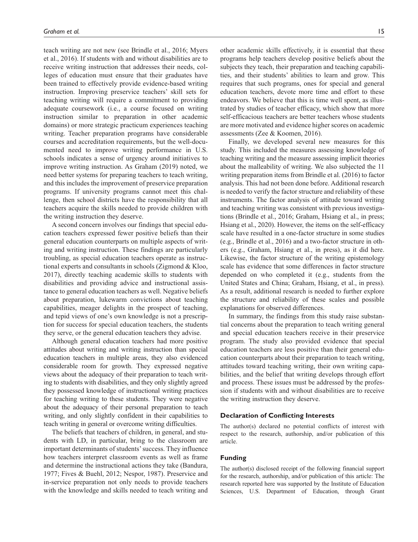teach writing are not new (see Brindle et al., 2016; Myers et al., 2016). If students with and without disabilities are to receive writing instruction that addresses their needs, colleges of education must ensure that their graduates have been trained to effectively provide evidence-based writing instruction. Improving preservice teachers' skill sets for teaching writing will require a commitment to providing adequate coursework (i.e., a course focused on writing instruction similar to preparation in other academic domains) or more strategic practicum experiences teaching writing. Teacher preparation programs have considerable courses and accreditation requirements, but the well-documented need to improve writing performance in U.S. schools indicates a sense of urgency around initiatives to improve writing instruction. As Graham (2019) noted, we need better systems for preparing teachers to teach writing, and this includes the improvement of preservice preparation programs. If university programs cannot meet this challenge, then school districts have the responsibility that all teachers acquire the skills needed to provide children with the writing instruction they deserve.

A second concern involves our findings that special education teachers expressed fewer positive beliefs than their general education counterparts on multiple aspects of writing and writing instruction. These findings are particularly troubling, as special education teachers operate as instructional experts and consultants in schools (Zigmond & Kloo, 2017), directly teaching academic skills to students with disabilities and providing advice and instructional assistance to general education teachers as well. Negative beliefs about preparation, lukewarm convictions about teaching capabilities, meager delights in the prospect of teaching, and tepid views of one's own knowledge is not a prescription for success for special education teachers, the students they serve, or the general education teachers they advise.

Although general education teachers had more positive attitudes about writing and writing instruction than special education teachers in multiple areas, they also evidenced considerable room for growth. They expressed negative views about the adequacy of their preparation to teach writing to students with disabilities, and they only slightly agreed they possessed knowledge of instructional writing practices for teaching writing to these students. They were negative about the adequacy of their personal preparation to teach writing, and only slightly confident in their capabilities to teach writing in general or overcome writing difficulties.

The beliefs that teachers of children, in general, and students with LD, in particular, bring to the classroom are important determinants of students' success. They influence how teachers interpret classroom events as well as frame and determine the instructional actions they take (Bandura, 1977; Fives & Buehl, 2012; Nespor, 1987). Preservice and in-service preparation not only needs to provide teachers with the knowledge and skills needed to teach writing and

other academic skills effectively, it is essential that these programs help teachers develop positive beliefs about the subjects they teach, their preparation and teaching capabilities, and their students' abilities to learn and grow. This requires that such programs, ones for special and general education teachers, devote more time and effort to these endeavors. We believe that this is time well spent, as illustrated by studies of teacher efficacy, which show that more self-efficacious teachers are better teachers whose students are more motivated and evidence higher scores on academic assessments (Zee & Koomen, 2016).

Finally, we developed several new measures for this study. This included the measures assessing knowledge of teaching writing and the measure assessing implicit theories about the malleability of writing. We also subjected the 11 writing preparation items from Brindle et al. (2016) to factor analysis. This had not been done before. Additional research is needed to verify the factor structure and reliability of these instruments. The factor analysis of attitude toward writing and teaching writing was consistent with previous investigations (Brindle et al., 2016; Graham, Hsiang et al., in press; Hsiang et al., 2020). However, the items on the self-efficacy scale have resulted in a one-factor structure in some studies (e.g., Brindle et al., 2016) and a two-factor structure in others (e.g., Graham, Hsiang et al., in press), as it did here. Likewise, the factor structure of the writing epistemology scale has evidence that some differences in factor structure depended on who completed it (e.g., students from the United States and China; Graham, Hsiang, et al., in press). As a result, additional research is needed to further explore the structure and reliability of these scales and possible explanations for observed differences.

In summary, the findings from this study raise substantial concerns about the preparation to teach writing general and special education teachers receive in their preservice program. The study also provided evidence that special education teachers are less positive than their general education counterparts about their preparation to teach writing, attitudes toward teaching writing, their own writing capabilities, and the belief that writing develops through effort and process. These issues must be addressed by the profession if students with and without disabilities are to receive the writing instruction they deserve.

### **Declaration of Conflicting Interests**

The author(s) declared no potential conflicts of interest with respect to the research, authorship, and/or publication of this article.

### **Funding**

The author(s) disclosed receipt of the following financial support for the research, authorship, and/or publication of this article: The research reported here was supported by the Institute of Education Sciences, U.S. Department of Education, through Grant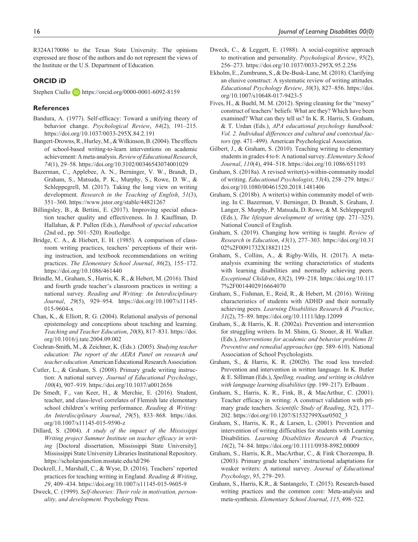R324A170086 to the Texas State University. The opinions expressed are those of the authors and do not represent the views of the Institute or the U.S. Department of Education.

### **ORCID iD**

Stephen Ciullo <https://orcid.org/0000-0001-6092-8159>

### **References**

- Bandura, A. (1977). Self-efficacy: Toward a unifying theory of behavior change. *Psychological Review*, *84*(2), 191–215. <https://doi.org/10.1037/0033-295X.84.2.191>
- Bangert-Drowns, R., Hurley, M., & Wilkinson, B. (2004). The effects of school-based writing-to-learn interventions on academic achievement: A meta-analysis. *Review of Educational Research*, *74*(1), 29–58. <https://doi.org/10.3102/00346543074001029>
- Bazerman, C., Applebee, A. N., Berninger, V. W., Brandt, D., Graham, S., Matsuda, P. K., Murphy, S., Rowe, D. W., & Schleppegrell, M. (2017). Taking the long view on writing development. *Research in the Teaching of English*, *51*(3), 351–360.<https://www.jstor.org/stable/44821267>
- Billingsley, B., & Bettini, E. (2017). Improving special education teacher quality and effectiveness. In J. Kauffman, D. Hallahan, & P. Pullen (Eds.), *Handbook of special education* (2nd ed., pp. 501–520). Routledge.
- Bridge, C. A., & Hiebert, E. H. (1985). A comparison of classroom writing practices, teachers' perceptions of their writing instruction, and textbook recommendations on writing practices. *The Elementary School Journal*, *86*(2), 155–172. <https://doi.org/10.1086/461440>
- Brindle, M., Graham, S., Harris, K. R., & Hebert, M. (2016). Third and fourth grade teacher's classroom practices in writing: a national survey. *Reading and Writing: An Interdisciplinary Journal*, *29*(5), 929–954. [https://doi.org/10.1007/s11145-](https://doi.org/10.1007/s11145-015-9604-x) [015-9604-x](https://doi.org/10.1007/s11145-015-9604-x)
- Chan, K., & Elliott, R. G. (2004). Relational analysis of personal epistemology and conceptions about teaching and learning. *Teaching and Teacher Education*, *20*(8), 817–831. [https://doi.](https://doi.org/10.1016/j.tate.2004.09.002) [org/10.1016/j.tate.2004.09.002](https://doi.org/10.1016/j.tate.2004.09.002)
- Cochran-Smith, M., & Zeichner, K. (Eds.). (2005). *Studying teacher education: The report of the AERA Panel on research and teacher education*. American Educational Research Association.
- Cutler, L., & Graham, S. (2008). Primary grade writing instruction: A national survey. *Journal of Educational Psychology*, *100*(4), 907–919.<https://doi.org/10.1037/a0012656>
- De Smedt, F., van Keer, H., & Merchie, E. (2016). Student, teacher, and class-level correlates of Flemish late elementary school children's writing performance. *Reading & Writing: An Interdisciplinary Journal*, *29*(5), 833–868. [https://doi.](https://doi.org/10.1007/s11145-015-9590-z) [org/10.1007/s11145-015-9590-z](https://doi.org/10.1007/s11145-015-9590-z)
- Dillard, S. (2004). *A study of the impact of the Mississippi Writing project Summer Institute on teacher efficacy in writing* [Doctoral dissertation, Mississippi State University]. Mississippi State University Libraries Institutional Repository. <https://scholarsjunction.msstate.edu/td/296>
- Dockrell, J., Marshall, C., & Wyse, D. (2016). Teachers' reported practices for teaching writing in England. *Reading & Writing*, *29*, 409–434. <https://doi.org/10.1007/s11145-015-9605-9>
- Dweck, C. (1999). *Self-theories: Their role in motivation, personality, and development*. Psychology Press.
- Dweck, C., & Leggett, E. (1988). A social-cognitive approach to motivation and personality. *Psychological Review*, *95*(2), 256–273.<https://doi.org/10.1037/0033-295X.95.2.256>
- Ekholm, E., Zumbrunn, S., & De-Busk-Lane, M. (2018). Clarifying an elusive construct: A systematic review of writing attitudes. *Educational Psychology Review*, *30*(3), 827–856. [https://doi.](https://doi.org/10.1007/s10648-017-9423-5) [org/10.1007/s10648-017-9423-5](https://doi.org/10.1007/s10648-017-9423-5)
- Fives, H., & Buehl, M. M. (2012). Spring cleaning for the "messy" construct of teachers' beliefs: What are they? Which have been examined? What can they tell us? In K. R. Harris, S. Graham, & T. Urdan (Eds.), *APA educational psychology handbook: Vol. 2. Individual differences and cultural and contextual factors* (pp. 471–499). American Psychological Association.
- Gilbert, J., & Graham, S. (2010). Teaching writing to elementary students in grades 4 to 6: A national survey. *Elementary School Journal*, *110*(4), 494–518.<https://doi.org/10.1086/651193>
- Graham, S. (2018a). A revised writer(s)-within-community model of writing. *Educational Psychologist*, *53*(4), 258–279. [https://](https://doi.org/10.1080/00461520.2018.1481406) [doi.org/10.1080/00461520.2018.1481406](https://doi.org/10.1080/00461520.2018.1481406)
- Graham, S. (2018b). A writer(s) within community model of writing. In C. Bazerman, V. Berninger, D. Brandt, S. Graham, J. Langer, S. Murphy, P. Matsuda, D. Rowe, & M. Schleppegrell (Eds.), *The lifespan development of writing* (pp. 271–325). National Council of English.
- Graham, S. (2019). Changing how writing is taught. *Review of Research in Education*, *43*(1), 277–303. [https://doi.org/10.31](https://doi.org/10.3102%2F0091732X18821125) [02%2F0091732X18821125](https://doi.org/10.3102%2F0091732X18821125)
- Graham, S., Collins, A., & Rigby-Wills, H. (2017). A metaanalysis examining the writing characteristics of students with learning disabilities and normally achieving peers. *Exceptional Children*, *83*(2), 199–218. [https://doi.org/10.117](https://doi.org/10.1177%2F0014402916664070) [7%2F0014402916664070](https://doi.org/10.1177%2F0014402916664070)
- Graham, S., Fishman, E., Reid, R., & Hebert, M. (2016). Writing characteristics of students with ADHD and their normally achieving peers. *Learning Disabilities Research & Practice*, *31*(2), 75–89.<https://doi.org/10.1111/ldrp.12099>
- Graham, S., & Harris, K. R. (2002a). Prevention and intervention for struggling writers. In M. Shinn, G. Stoner, & H. Walker. (Eds.), *Interventions for academic and behavior problems II: Preventive and remedial approaches* (pp. 589–610). National Association of School Psychologists.
- Graham, S., & Harris, K. R. (2002b). The road less traveled: Prevention and intervention in written language. In K. Butler & E. Silliman (Eds.), *Spelling, reading, and writing in children with language learning disabilities* (pp. 199–217). Erlbaum .
- Graham, S., Harris, K. R., Fink, B., & MacArthur, C. (2001). Teacher efficacy in writing: A construct validation with primary grade teachers. *Scientific Study of Reading*, *5*(2), 177– 202. [https://doi.org/10.1207/S1532799Xssr0502\\_3](https://doi.org/10.1207/S1532799Xssr0502_3)
- Graham, S., Harris, K. R., & Larsen, L. (2001). Prevention and intervention of writing difficulties for students with Learning Disabilities. *Learning Disabilities Research & Practice*, *16*(2), 74–84.<https://doi.org/10.1111/0938-8982.00009>
- Graham, S., Harris, K.R., MacArthur, C., & Fink Chorzempa, B. (2003). Primary grade teachers' instructional adaptations for weaker writers: A national survey. *Journal of Educational Psychology*, *95*, 279–293.
- Graham, S., Harris, K.R., & Santangelo, T. (2015). Research-based writing practices and the common core: Meta-analysis and meta-synthesis. *Elementary School Journal*, *115*, 498–522.